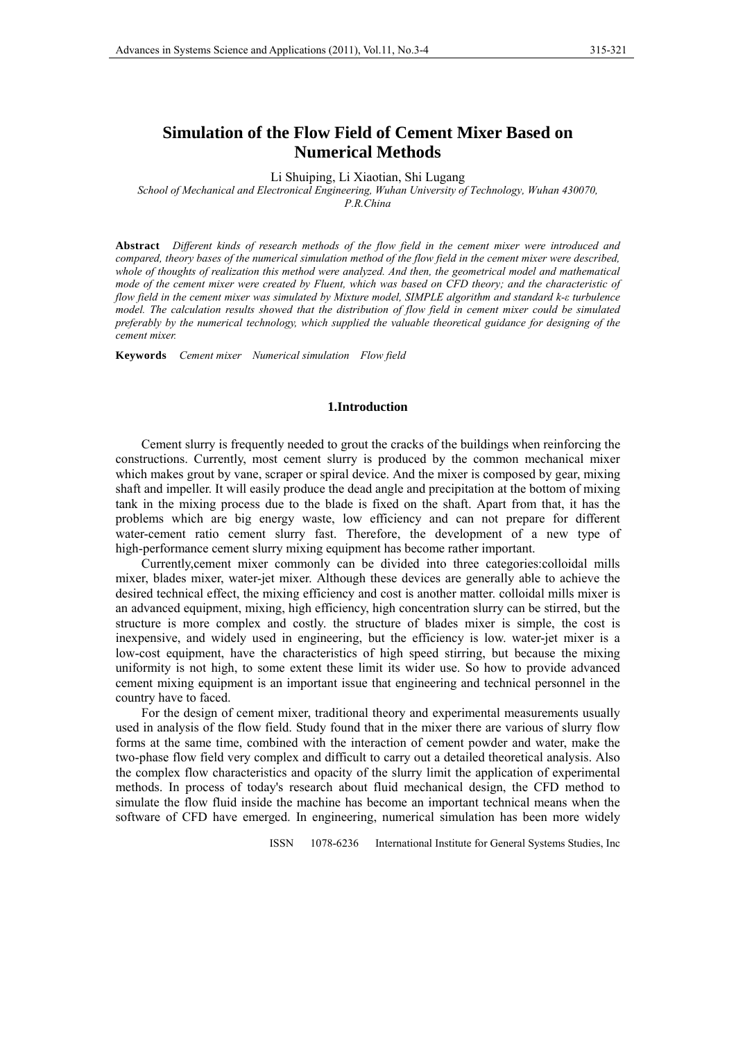# **Simulation of the Flow Field of Cement Mixer Based on Numerical Methods**

Li Shuiping, Li Xiaotian, Shi Lugang

*School of Mechanical and Electronical Engineering, Wuhan University of Technology, Wuhan 430070, P.R.China* 

**Abstract** *Different kinds of research methods of the flow field in the cement mixer were introduced and compared, theory bases of the numerical simulation method of the flow field in the cement mixer were described, whole of thoughts of realization this method were analyzed. And then, the geometrical model and mathematical mode of the cement mixer were created by Fluent, which was based on CFD theory; and the characteristic of flow field in the cement mixer was simulated by Mixture model, SIMPLE algorithm and standard k-ε turbulence model. The calculation results showed that the distribution of flow field in cement mixer could be simulated preferably by the numerical technology, which supplied the valuable theoretical guidance for designing of the cement mixer.* 

**Keywords** *Cement mixer Numerical simulation Flow field* 

#### **1.Introduction**

Cement slurry is frequently needed to grout the cracks of the buildings when reinforcing the constructions. Currently, most cement slurry is produced by the common mechanical mixer which makes grout by vane, scraper or spiral device. And the mixer is composed by gear, mixing shaft and impeller. It will easily produce the dead angle and precipitation at the bottom of mixing tank in the mixing process due to the blade is fixed on the shaft. Apart from that, it has the problems which are big energy waste, low efficiency and can not prepare for different water-cement ratio cement slurry fast. Therefore, the development of a new type of high-performance cement slurry mixing equipment has become rather important.

Currently,cement mixer commonly can be divided into three categories:colloidal mills mixer, blades mixer, water-jet mixer. Although these devices are generally able to achieve the desired technical effect, the mixing efficiency and cost is another matter. colloidal mills mixer is an advanced equipment, mixing, high efficiency, high concentration slurry can be stirred, but the structure is more complex and costly. the structure of blades mixer is simple, the cost is inexpensive, and widely used in engineering, but the efficiency is low. water-jet mixer is a low-cost equipment, have the characteristics of high speed stirring, but because the mixing uniformity is not high, to some extent these limit its wider use. So how to provide advanced cement mixing equipment is an important issue that engineering and technical personnel in the country have to faced.

For the design of cement mixer, traditional theory and experimental measurements usually used in analysis of the flow field. Study found that in the mixer there are various of slurry flow forms at the same time, combined with the interaction of cement powder and water, make the two-phase flow field very complex and difficult to carry out a detailed theoretical analysis. Also the complex flow characteristics and opacity of the slurry limit the application of experimental methods. In process of today's research about fluid mechanical design, the CFD method to simulate the flow fluid inside the machine has become an important technical means when the software of CFD have emerged. In engineering, numerical simulation has been more widely

ISSN 1078-6236 International Institute for General Systems Studies, Inc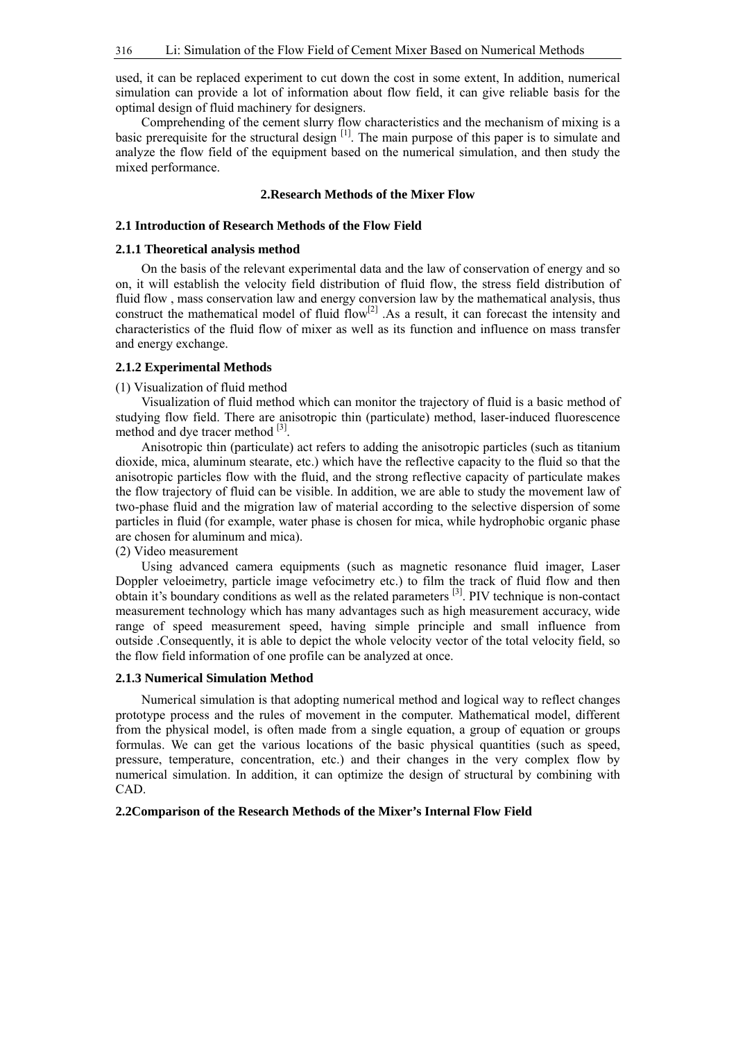used, it can be replaced experiment to cut down the cost in some extent, In addition, numerical simulation can provide a lot of information about flow field, it can give reliable basis for the optimal design of fluid machinery for designers.

Comprehending of the cement slurry flow characteristics and the mechanism of mixing is a basic prerequisite for the structural design <sup>[1]</sup>. The main purpose of this paper is to simulate and analyze the flow field of the equipment based on the numerical simulation, and then study the mixed performance.

## **2.Research Methods of the Mixer Flow**

### **2.1 Introduction of Research Methods of the Flow Field**

## **2.1.1 Theoretical analysis method**

On the basis of the relevant experimental data and the law of conservation of energy and so on, it will establish the velocity field distribution of fluid flow, the stress field distribution of fluid flow , mass conservation law and energy conversion law by the mathematical analysis, thus construct the mathematical model of fluid  $flow^{[2]}$ . As a result, it can forecast the intensity and characteristics of the fluid flow of mixer as well as its function and influence on mass transfer and energy exchange.

#### **2.1.2 Experimental Methods**

(1) Visualization of fluid method

Visualization of fluid method which can monitor the trajectory of fluid is a basic method of studying flow field. There are anisotropic thin (particulate) method, laser-induced fluorescence method and dye tracer method <sup>[3]</sup>.

Anisotropic thin (particulate) act refers to adding the anisotropic particles (such as titanium dioxide, mica, aluminum stearate, etc.) which have the reflective capacity to the fluid so that the anisotropic particles flow with the fluid, and the strong reflective capacity of particulate makes the flow trajectory of fluid can be visible. In addition, we are able to study the movement law of two-phase fluid and the migration law of material according to the selective dispersion of some particles in fluid (for example, water phase is chosen for mica, while hydrophobic organic phase are chosen for aluminum and mica).

(2) Video measurement

Using advanced camera equipments (such as magnetic resonance fluid imager, Laser Doppler veloeimetry, particle image vefocimetry etc.) to film the track of fluid flow and then obtain it's boundary conditions as well as the related parameters [3]. PIV technique is non-contact measurement technology which has many advantages such as high measurement accuracy, wide range of speed measurement speed, having simple principle and small influence from outside .Consequently, it is able to depict the whole velocity vector of the total velocity field, so the flow field information of one profile can be analyzed at once.

#### **2.1.3 Numerical Simulation Method**

Numerical simulation is that adopting numerical method and logical way to reflect changes prototype process and the rules of movement in the computer. Mathematical model, different from the physical model, is often made from a single equation, a group of equation or groups formulas. We can get the various locations of the basic physical quantities (such as speed, pressure, temperature, concentration, etc.) and their changes in the very complex flow by numerical simulation. In addition, it can optimize the design of structural by combining with CAD.

#### **2.2Comparison of the Research Methods of the Mixer's Internal Flow Field**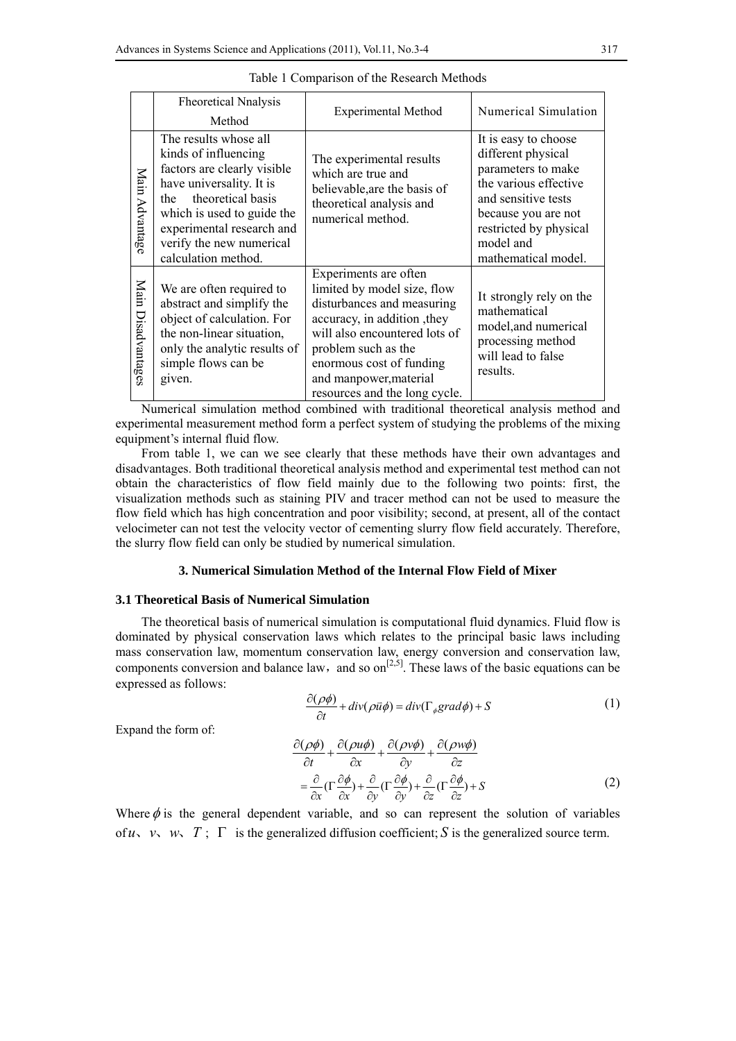|                       | <b>Fheoretical Nnalysis</b><br>Method                                                                                                                                                                                                              | <b>Experimental Method</b>                                                                                                                                                                                                                                       | Numerical Simulation                                                                                                                                                                                  |
|-----------------------|----------------------------------------------------------------------------------------------------------------------------------------------------------------------------------------------------------------------------------------------------|------------------------------------------------------------------------------------------------------------------------------------------------------------------------------------------------------------------------------------------------------------------|-------------------------------------------------------------------------------------------------------------------------------------------------------------------------------------------------------|
| Main<br>Advantag      | The results whose all<br>kinds of influencing<br>factors are clearly visible<br>have universality. It is<br>theoretical basis<br>the<br>which is used to guide the<br>experimental research and<br>verify the new numerical<br>calculation method. | The experimental results<br>which are true and<br>believable, are the basis of<br>theoretical analysis and<br>numerical method.                                                                                                                                  | It is easy to choose<br>different physical<br>parameters to make<br>the various effective<br>and sensitive tests<br>because you are not<br>restricted by physical<br>model and<br>mathematical model. |
| Main<br>Disadvantages | We are often required to<br>abstract and simplify the<br>object of calculation. For<br>the non-linear situation,<br>only the analytic results of<br>simple flows can be<br>given.                                                                  | Experiments are often<br>limited by model size, flow<br>disturbances and measuring<br>accuracy, in addition, they<br>will also encountered lots of<br>problem such as the<br>enormous cost of funding<br>and manpower, material<br>resources and the long cycle. | It strongly rely on the<br>mathematical<br>model, and numerical<br>processing method<br>will lead to false<br>results.                                                                                |

|  | Table 1 Comparison of the Research Methods |  |  |
|--|--------------------------------------------|--|--|
|  |                                            |  |  |

Numerical simulation method combined with traditional theoretical analysis method and experimental measurement method form a perfect system of studying the problems of the mixing equipment's internal fluid flow.

From table 1, we can we see clearly that these methods have their own advantages and disadvantages. Both traditional theoretical analysis method and experimental test method can not obtain the characteristics of flow field mainly due to the following two points: first, the visualization methods such as staining PIV and tracer method can not be used to measure the flow field which has high concentration and poor visibility; second, at present, all of the contact velocimeter can not test the velocity vector of cementing slurry flow field accurately. Therefore, the slurry flow field can only be studied by numerical simulation.

## **3. Numerical Simulation Method of the Internal Flow Field of Mixer**

## **3.1 Theoretical Basis of Numerical Simulation**

The theoretical basis of numerical simulation is computational fluid dynamics. Fluid flow is dominated by physical conservation laws which relates to the principal basic laws including mass conservation law, momentum conservation law, energy conversion and conservation law, components conversion and balance law, and so  $\text{on}^{[2,5]}$ . These laws of the basic equations can be expressed as follows:

$$
\frac{\partial(\rho\phi)}{\partial t} + \operatorname{div}(\rho\bar{u}\phi) = \operatorname{div}(\Gamma_{\phi}\operatorname{grad}\phi) + S \tag{1}
$$

Expand the form of:

$$
\frac{\partial(\rho\phi)}{\partial t} + \frac{\partial(\rho u\phi)}{\partial x} + \frac{\partial(\rho v\phi)}{\partial y} + \frac{\partial(\rho w\phi)}{\partial z} \n= \frac{\partial}{\partial x}(\Gamma \frac{\partial \phi}{\partial x}) + \frac{\partial}{\partial y}(\Gamma \frac{\partial \phi}{\partial y}) + \frac{\partial}{\partial z}(\Gamma \frac{\partial \phi}{\partial z}) + S
$$
\n(2)

Where  $\phi$  is the general dependent variable, and so can represent the solution of variables of  $u_1, v_2, w_3, T$  is the generalized diffusion coefficient: *S* is the generalized source term.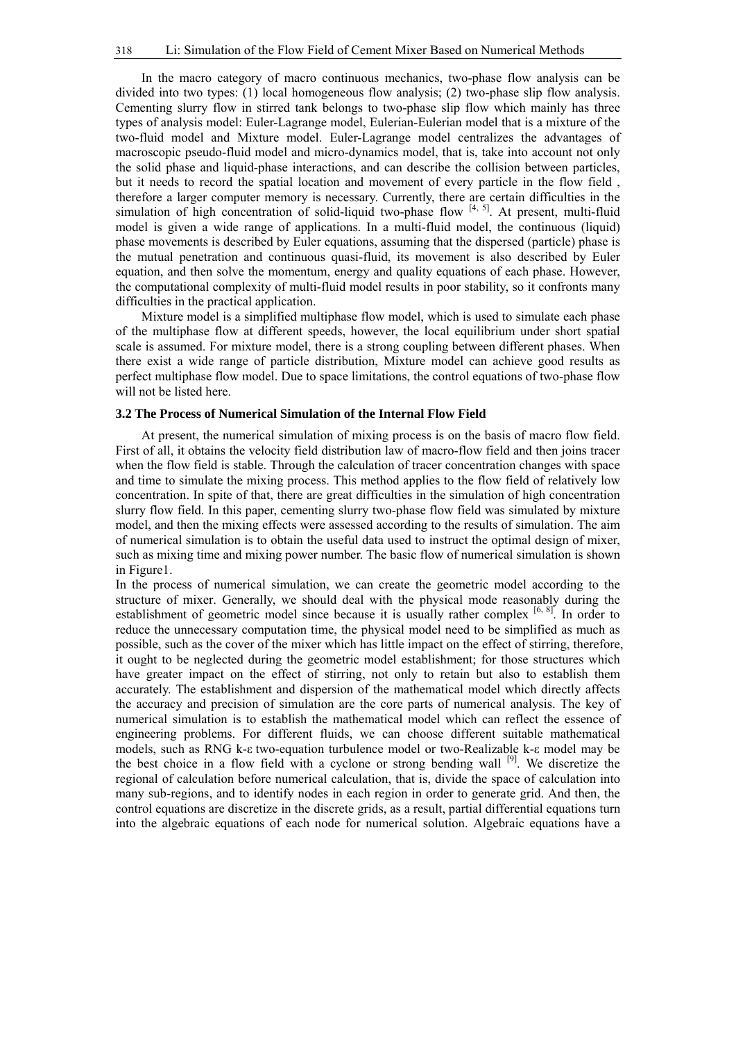In the macro category of macro continuous mechanics, two-phase flow analysis can be divided into two types: (1) local homogeneous flow analysis; (2) two-phase slip flow analysis. Cementing slurry flow in stirred tank belongs to two-phase slip flow which mainly has three types of analysis model: Euler-Lagrange model, Eulerian-Eulerian model that is a mixture of the two-fluid model and Mixture model. Euler-Lagrange model centralizes the advantages of macroscopic pseudo-fluid model and micro-dynamics model, that is, take into account not only the solid phase and liquid-phase interactions, and can describe the collision between particles, but it needs to record the spatial location and movement of every particle in the flow field , therefore a larger computer memory is necessary. Currently, there are certain difficulties in the simulation of high concentration of solid-liquid two-phase flow  $\begin{bmatrix} 4 & 5 \end{bmatrix}$ . At present, multi-fluid model is given a wide range of applications. In a multi-fluid model, the continuous (liquid) phase movements is described by Euler equations, assuming that the dispersed (particle) phase is the mutual penetration and continuous quasi-fluid, its movement is also described by Euler equation, and then solve the momentum, energy and quality equations of each phase. However, the computational complexity of multi-fluid model results in poor stability, so it confronts many difficulties in the practical application.

Mixture model is a simplified multiphase flow model, which is used to simulate each phase of the multiphase flow at different speeds, however, the local equilibrium under short spatial scale is assumed. For mixture model, there is a strong coupling between different phases. When there exist a wide range of particle distribution, Mixture model can achieve good results as perfect multiphase flow model. Due to space limitations, the control equations of two-phase flow will not be listed here.

## **3.2 The Process of Numerical Simulation of the Internal Flow Field**

At present, the numerical simulation of mixing process is on the basis of macro flow field. First of all, it obtains the velocity field distribution law of macro-flow field and then joins tracer when the flow field is stable. Through the calculation of tracer concentration changes with space and time to simulate the mixing process. This method applies to the flow field of relatively low concentration. In spite of that, there are great difficulties in the simulation of high concentration slurry flow field. In this paper, cementing slurry two-phase flow field was simulated by mixture model, and then the mixing effects were assessed according to the results of simulation. The aim of numerical simulation is to obtain the useful data used to instruct the optimal design of mixer, such as mixing time and mixing power number. The basic flow of numerical simulation is shown in Figure1.

In the process of numerical simulation, we can create the geometric model according to the structure of mixer. Generally, we should deal with the physical mode reasonably during the establishment of geometric model since because it is usually rather complex [6, 8]. In order to reduce the unnecessary computation time, the physical model need to be simplified as much as possible, such as the cover of the mixer which has little impact on the effect of stirring, therefore, it ought to be neglected during the geometric model establishment; for those structures which have greater impact on the effect of stirring, not only to retain but also to establish them accurately. The establishment and dispersion of the mathematical model which directly affects the accuracy and precision of simulation are the core parts of numerical analysis. The key of numerical simulation is to establish the mathematical model which can reflect the essence of engineering problems. For different fluids, we can choose different suitable mathematical models, such as RNG k-ε two-equation turbulence model or two-Realizable k-ε model may be the best choice in a flow field with a cyclone or strong bending wall [9]. We discretize the regional of calculation before numerical calculation, that is, divide the space of calculation into many sub-regions, and to identify nodes in each region in order to generate grid. And then, the control equations are discretize in the discrete grids, as a result, partial differential equations turn into the algebraic equations of each node for numerical solution. Algebraic equations have a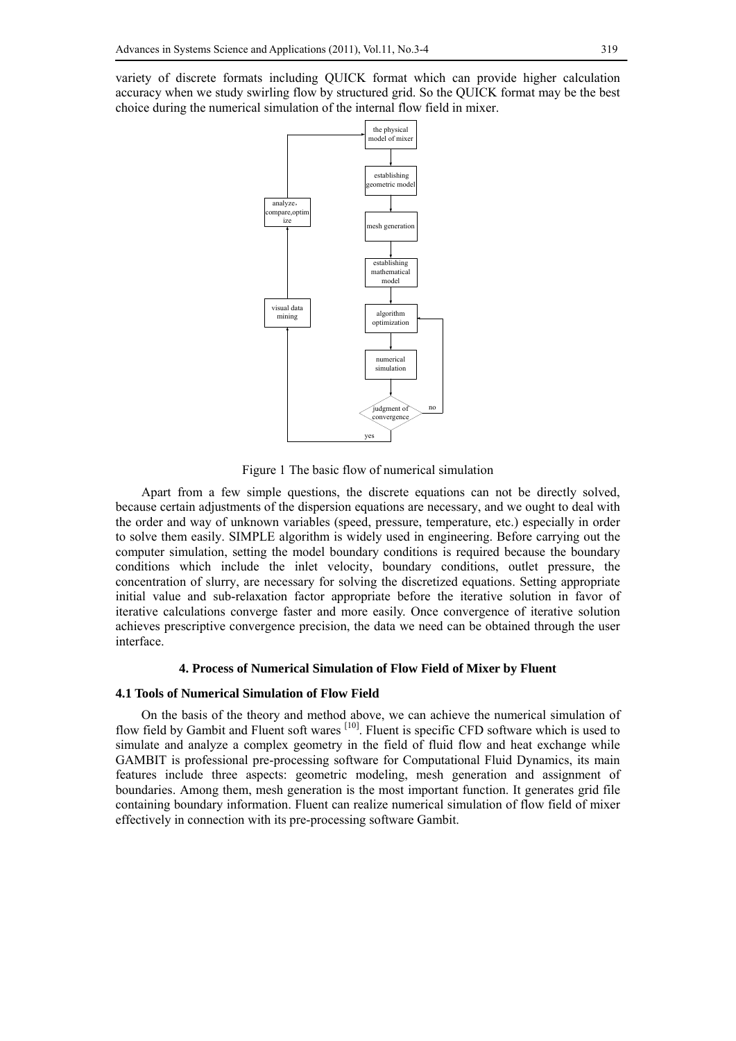variety of discrete formats including QUICK format which can provide higher calculation accuracy when we study swirling flow by structured grid. So the QUICK format may be the best choice during the numerical simulation of the internal flow field in mixer.



Figure 1 The basic flow of numerical simulation

Apart from a few simple questions, the discrete equations can not be directly solved, because certain adjustments of the dispersion equations are necessary, and we ought to deal with the order and way of unknown variables (speed, pressure, temperature, etc.) especially in order to solve them easily. SIMPLE algorithm is widely used in engineering. Before carrying out the computer simulation, setting the model boundary conditions is required because the boundary conditions which include the inlet velocity, boundary conditions, outlet pressure, the concentration of slurry, are necessary for solving the discretized equations. Setting appropriate initial value and sub-relaxation factor appropriate before the iterative solution in favor of iterative calculations converge faster and more easily. Once convergence of iterative solution achieves prescriptive convergence precision, the data we need can be obtained through the user interface.

#### **4. Process of Numerical Simulation of Flow Field of Mixer by Fluent**

#### **4.1 Tools of Numerical Simulation of Flow Field**

On the basis of the theory and method above, we can achieve the numerical simulation of flow field by Gambit and Fluent soft wares <sup>[10]</sup>. Fluent is specific CFD software which is used to simulate and analyze a complex geometry in the field of fluid flow and heat exchange while GAMBIT is professional pre-processing software for Computational Fluid Dynamics, its main features include three aspects: geometric modeling, mesh generation and assignment of boundaries. Among them, mesh generation is the most important function. It generates grid file containing boundary information. Fluent can realize numerical simulation of flow field of mixer effectively in connection with its pre-processing software Gambit.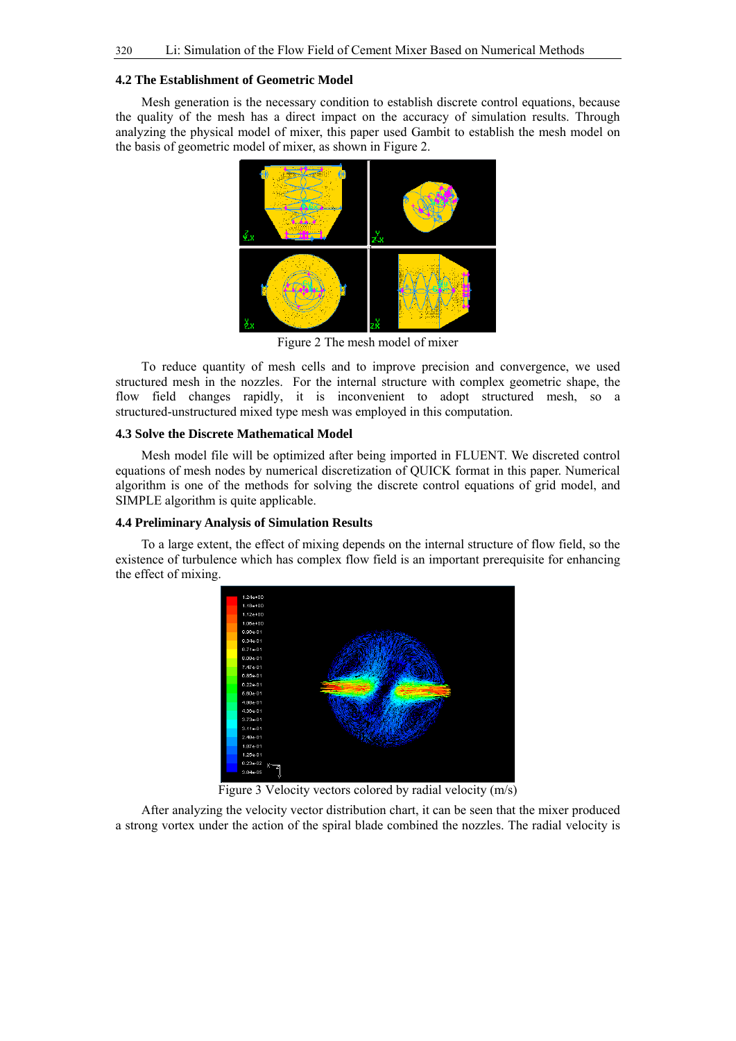#### **4.2 The Establishment of Geometric Model**

Mesh generation is the necessary condition to establish discrete control equations, because the quality of the mesh has a direct impact on the accuracy of simulation results. Through analyzing the physical model of mixer, this paper used Gambit to establish the mesh model on the basis of geometric model of mixer, as shown in Figure 2.



Figure 2 The mesh model of mixer

To reduce quantity of mesh cells and to improve precision and convergence, we used structured mesh in the nozzles. For the internal structure with complex geometric shape, the flow field changes rapidly, it is inconvenient to adopt structured mesh, so a structured-unstructured mixed type mesh was employed in this computation.

# **4.3 Solve the Discrete Mathematical Model**

Mesh model file will be optimized after being imported in FLUENT. We discreted control equations of mesh nodes by numerical discretization of QUICK format in this paper. Numerical algorithm is one of the methods for solving the discrete control equations of grid model, and SIMPLE algorithm is quite applicable.

## **4.4 Preliminary Analysis of Simulation Results**

To a large extent, the effect of mixing depends on the internal structure of flow field, so the existence of turbulence which has complex flow field is an important prerequisite for enhancing the effect of mixing.



Figure 3 Velocity vectors colored by radial velocity (m/s)

After analyzing the velocity vector distribution chart, it can be seen that the mixer produced a strong vortex under the action of the spiral blade combined the nozzles. The radial velocity is